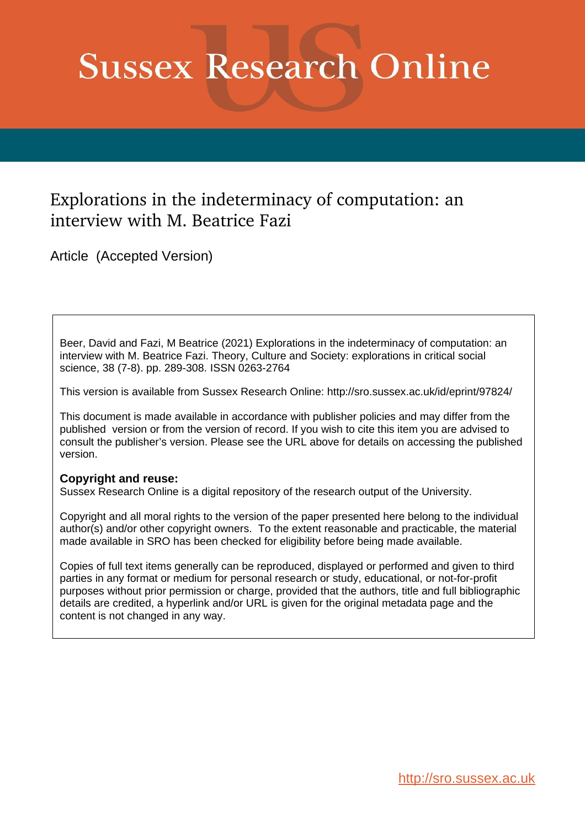# **Sussex Research Online**

# Explorations in the indeterminacy of computation: an interview with M. Beatrice Fazi

Article (Accepted Version)

Beer, David and Fazi, M Beatrice (2021) Explorations in the indeterminacy of computation: an interview with M. Beatrice Fazi. Theory, Culture and Society: explorations in critical social science, 38 (7-8). pp. 289-308. ISSN 0263-2764

This version is available from Sussex Research Online: http://sro.sussex.ac.uk/id/eprint/97824/

This document is made available in accordance with publisher policies and may differ from the published version or from the version of record. If you wish to cite this item you are advised to consult the publisher's version. Please see the URL above for details on accessing the published version.

## **Copyright and reuse:**

Sussex Research Online is a digital repository of the research output of the University.

Copyright and all moral rights to the version of the paper presented here belong to the individual author(s) and/or other copyright owners. To the extent reasonable and practicable, the material made available in SRO has been checked for eligibility before being made available.

Copies of full text items generally can be reproduced, displayed or performed and given to third parties in any format or medium for personal research or study, educational, or not-for-profit purposes without prior permission or charge, provided that the authors, title and full bibliographic details are credited, a hyperlink and/or URL is given for the original metadata page and the content is not changed in any way.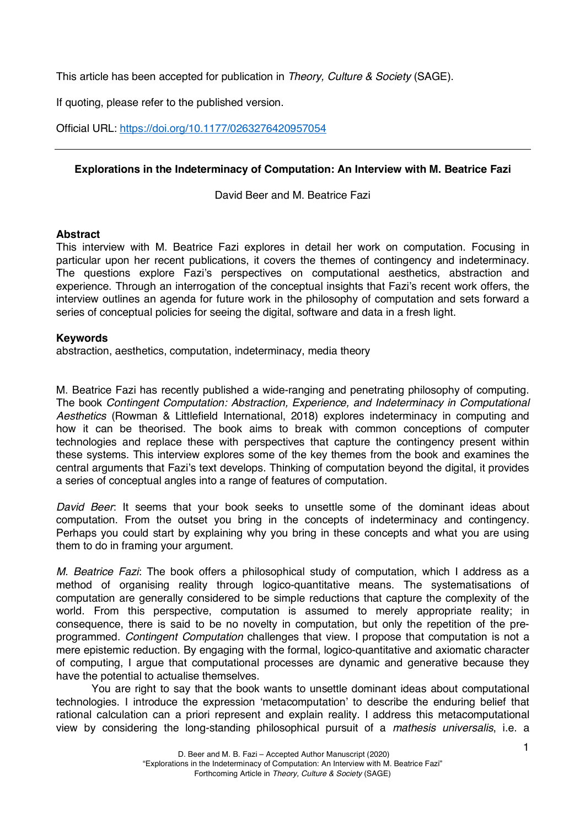This article has been accepted for publication in *Theory, Culture & Society* (SAGE).

If quoting, please refer to the published version.

Official URL: https://doi.org/10.1177/0263276420957054

### **Explorations in the Indeterminacy of Computation: An Interview with M. Beatrice Fazi**

David Beer and M. Beatrice Fazi

#### **Abstract**

This interview with M. Beatrice Fazi explores in detail her work on computation. Focusing in particular upon her recent publications, it covers the themes of contingency and indeterminacy. The questions explore Fazi's perspectives on computational aesthetics, abstraction and experience. Through an interrogation of the conceptual insights that Fazi's recent work offers, the interview outlines an agenda for future work in the philosophy of computation and sets forward a series of conceptual policies for seeing the digital, software and data in a fresh light.

#### **Keywords**

abstraction, aesthetics, computation, indeterminacy, media theory

M. Beatrice Fazi has recently published a wide-ranging and penetrating philosophy of computing. The book *Contingent Computation: Abstraction, Experience, and Indeterminacy in Computational Aesthetics* (Rowman & Littlefield International, 2018) explores indeterminacy in computing and how it can be theorised. The book aims to break with common conceptions of computer technologies and replace these with perspectives that capture the contingency present within these systems. This interview explores some of the key themes from the book and examines the central arguments that Fazi's text develops. Thinking of computation beyond the digital, it provides a series of conceptual angles into a range of features of computation.

*David Beer*: It seems that your book seeks to unsettle some of the dominant ideas about computation. From the outset you bring in the concepts of indeterminacy and contingency. Perhaps you could start by explaining why you bring in these concepts and what you are using them to do in framing your argument.

*M. Beatrice Fazi*: The book offers a philosophical study of computation, which I address as a method of organising reality through logico-quantitative means. The systematisations of computation are generally considered to be simple reductions that capture the complexity of the world. From this perspective, computation is assumed to merely appropriate reality; in consequence, there is said to be no novelty in computation, but only the repetition of the preprogrammed. *Contingent Computation* challenges that view. I propose that computation is not a mere epistemic reduction. By engaging with the formal, logico-quantitative and axiomatic character of computing, I argue that computational processes are dynamic and generative because they have the potential to actualise themselves.

You are right to say that the book wants to unsettle dominant ideas about computational technologies. I introduce the expression 'metacomputation' to describe the enduring belief that rational calculation can a priori represent and explain reality. I address this metacomputational view by considering the long-standing philosophical pursuit of a *mathesis universalis*, i.e. a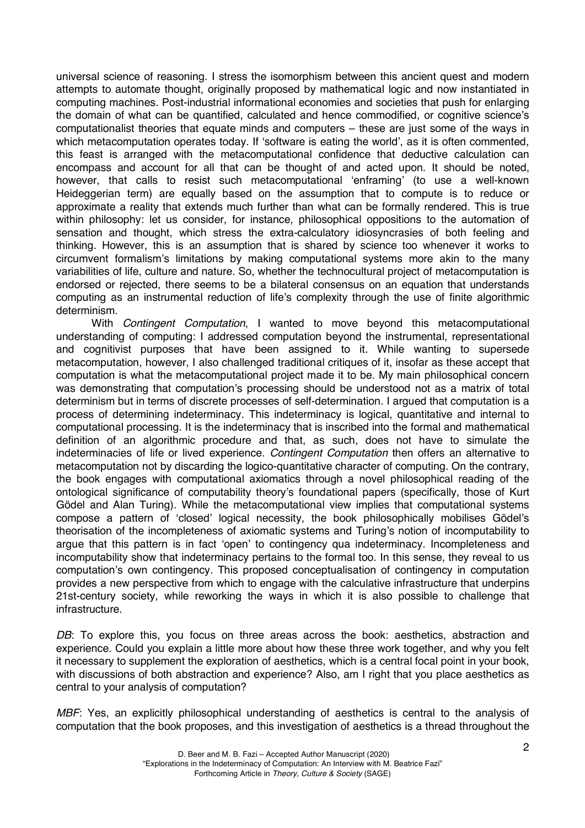universal science of reasoning. I stress the isomorphism between this ancient quest and modern attempts to automate thought, originally proposed by mathematical logic and now instantiated in computing machines. Post-industrial informational economies and societies that push for enlarging the domain of what can be quantified, calculated and hence commodified, or cognitive science's computationalist theories that equate minds and computers – these are just some of the ways in which metacomputation operates today. If 'software is eating the world', as it is often commented, this feast is arranged with the metacomputational confidence that deductive calculation can encompass and account for all that can be thought of and acted upon. It should be noted, however, that calls to resist such metacomputational 'enframing' (to use a well-known Heideggerian term) are equally based on the assumption that to compute is to reduce or approximate a reality that extends much further than what can be formally rendered. This is true within philosophy: let us consider, for instance, philosophical oppositions to the automation of sensation and thought, which stress the extra-calculatory idiosyncrasies of both feeling and thinking. However, this is an assumption that is shared by science too whenever it works to circumvent formalism's limitations by making computational systems more akin to the many variabilities of life, culture and nature. So, whether the technocultural project of metacomputation is endorsed or rejected, there seems to be a bilateral consensus on an equation that understands computing as an instrumental reduction of life's complexity through the use of finite algorithmic determinism.

With *Contingent Computation*, I wanted to move beyond this metacomputational understanding of computing: I addressed computation beyond the instrumental, representational and cognitivist purposes that have been assigned to it. While wanting to supersede metacomputation, however, I also challenged traditional critiques of it, insofar as these accept that computation is what the metacomputational project made it to be. My main philosophical concern was demonstrating that computation's processing should be understood not as a matrix of total determinism but in terms of discrete processes of self-determination. I argued that computation is a process of determining indeterminacy. This indeterminacy is logical, quantitative and internal to computational processing. It is the indeterminacy that is inscribed into the formal and mathematical definition of an algorithmic procedure and that, as such, does not have to simulate the indeterminacies of life or lived experience. *Contingent Computation* then offers an alternative to metacomputation not by discarding the logico-quantitative character of computing. On the contrary, the book engages with computational axiomatics through a novel philosophical reading of the ontological significance of computability theory's foundational papers (specifically, those of Kurt Gödel and Alan Turing). While the metacomputational view implies that computational systems compose a pattern of 'closed' logical necessity, the book philosophically mobilises Gödel's theorisation of the incompleteness of axiomatic systems and Turing's notion of incomputability to argue that this pattern is in fact 'open' to contingency qua indeterminacy. Incompleteness and incomputability show that indeterminacy pertains to the formal too. In this sense, they reveal to us computation's own contingency. This proposed conceptualisation of contingency in computation provides a new perspective from which to engage with the calculative infrastructure that underpins 21st-century society, while reworking the ways in which it is also possible to challenge that infrastructure.

DB: To explore this, you focus on three areas across the book: aesthetics, abstraction and experience. Could you explain a little more about how these three work together, and why you felt it necessary to supplement the exploration of aesthetics, which is a central focal point in your book, with discussions of both abstraction and experience? Also, am I right that you place aesthetics as central to your analysis of computation?

*MBF*: Yes, an explicitly philosophical understanding of aesthetics is central to the analysis of computation that the book proposes, and this investigation of aesthetics is a thread throughout the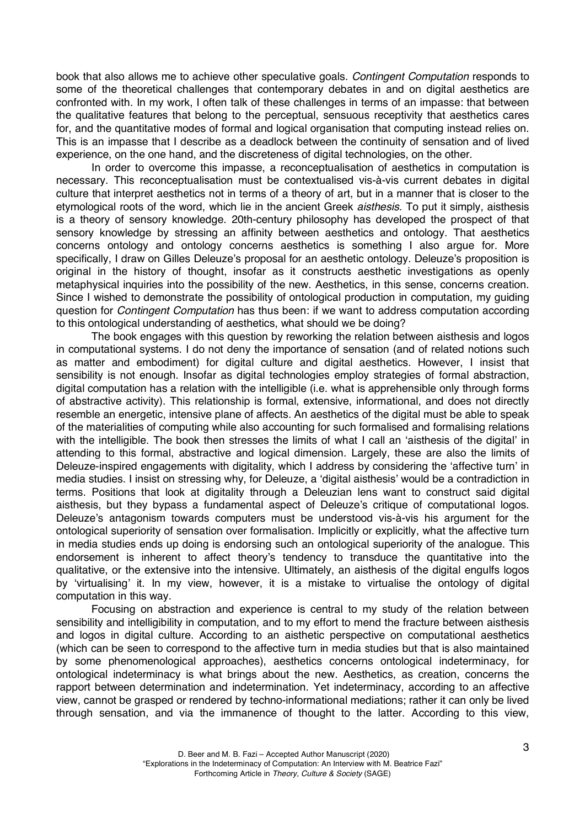book that also allows me to achieve other speculative goals. *Contingent Computation* responds to some of the theoretical challenges that contemporary debates in and on digital aesthetics are confronted with. In my work, I often talk of these challenges in terms of an impasse: that between the qualitative features that belong to the perceptual, sensuous receptivity that aesthetics cares for, and the quantitative modes of formal and logical organisation that computing instead relies on. This is an impasse that I describe as a deadlock between the continuity of sensation and of lived experience, on the one hand, and the discreteness of digital technologies, on the other.

In order to overcome this impasse, a reconceptualisation of aesthetics in computation is necessary. This reconceptualisation must be contextualised vis-à-vis current debates in digital culture that interpret aesthetics not in terms of a theory of art, but in a manner that is closer to the etymological roots of the word, which lie in the ancient Greek *aisthesis*. To put it simply, aisthesis is a theory of sensory knowledge. 20th-century philosophy has developed the prospect of that sensory knowledge by stressing an affinity between aesthetics and ontology. That aesthetics concerns ontology and ontology concerns aesthetics is something I also argue for. More specifically, I draw on Gilles Deleuze's proposal for an aesthetic ontology. Deleuze's proposition is original in the history of thought, insofar as it constructs aesthetic investigations as openly metaphysical inquiries into the possibility of the new. Aesthetics, in this sense, concerns creation. Since I wished to demonstrate the possibility of ontological production in computation, my guiding question for *Contingent Computation* has thus been: if we want to address computation according to this ontological understanding of aesthetics, what should we be doing?

The book engages with this question by reworking the relation between aisthesis and logos in computational systems. I do not deny the importance of sensation (and of related notions such as matter and embodiment) for digital culture and digital aesthetics. However, I insist that sensibility is not enough. Insofar as digital technologies employ strategies of formal abstraction, digital computation has a relation with the intelligible (i.e. what is apprehensible only through forms of abstractive activity). This relationship is formal, extensive, informational, and does not directly resemble an energetic, intensive plane of affects. An aesthetics of the digital must be able to speak of the materialities of computing while also accounting for such formalised and formalising relations with the intelligible. The book then stresses the limits of what I call an 'aisthesis of the digital' in attending to this formal, abstractive and logical dimension. Largely, these are also the limits of Deleuze-inspired engagements with digitality, which I address by considering the 'affective turn' in media studies. I insist on stressing why, for Deleuze, a 'digital aisthesis' would be a contradiction in terms. Positions that look at digitality through a Deleuzian lens want to construct said digital aisthesis, but they bypass a fundamental aspect of Deleuze's critique of computational logos. Deleuze's antagonism towards computers must be understood vis-à-vis his argument for the ontological superiority of sensation over formalisation. Implicitly or explicitly, what the affective turn in media studies ends up doing is endorsing such an ontological superiority of the analogue. This endorsement is inherent to affect theory's tendency to transduce the quantitative into the qualitative, or the extensive into the intensive. Ultimately, an aisthesis of the digital engulfs logos by 'virtualising' it. In my view, however, it is a mistake to virtualise the ontology of digital computation in this way.

Focusing on abstraction and experience is central to my study of the relation between sensibility and intelligibility in computation, and to my effort to mend the fracture between aisthesis and logos in digital culture. According to an aisthetic perspective on computational aesthetics (which can be seen to correspond to the affective turn in media studies but that is also maintained by some phenomenological approaches), aesthetics concerns ontological indeterminacy, for ontological indeterminacy is what brings about the new. Aesthetics, as creation, concerns the rapport between determination and indetermination. Yet indeterminacy, according to an affective view, cannot be grasped or rendered by techno-informational mediations; rather it can only be lived through sensation, and via the immanence of thought to the latter. According to this view,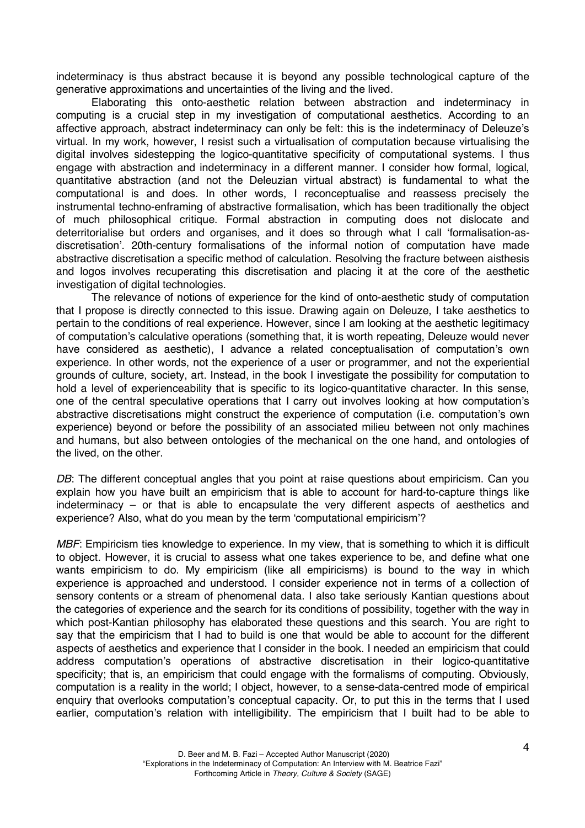indeterminacy is thus abstract because it is beyond any possible technological capture of the generative approximations and uncertainties of the living and the lived.

Elaborating this onto-aesthetic relation between abstraction and indeterminacy in computing is a crucial step in my investigation of computational aesthetics. According to an affective approach, abstract indeterminacy can only be felt: this is the indeterminacy of Deleuze's virtual. In my work, however, I resist such a virtualisation of computation because virtualising the digital involves sidestepping the logico-quantitative specificity of computational systems. I thus engage with abstraction and indeterminacy in a different manner. I consider how formal, logical, quantitative abstraction (and not the Deleuzian virtual abstract) is fundamental to what the computational is and does. In other words, I reconceptualise and reassess precisely the instrumental techno-enframing of abstractive formalisation, which has been traditionally the object of much philosophical critique. Formal abstraction in computing does not dislocate and deterritorialise but orders and organises, and it does so through what I call 'formalisation-asdiscretisation'. 20th-century formalisations of the informal notion of computation have made abstractive discretisation a specific method of calculation. Resolving the fracture between aisthesis and logos involves recuperating this discretisation and placing it at the core of the aesthetic investigation of digital technologies.

The relevance of notions of experience for the kind of onto-aesthetic study of computation that I propose is directly connected to this issue. Drawing again on Deleuze, I take aesthetics to pertain to the conditions of real experience. However, since I am looking at the aesthetic legitimacy of computation's calculative operations (something that, it is worth repeating, Deleuze would never have considered as aesthetic), I advance a related conceptualisation of computation's own experience. In other words, not the experience of a user or programmer, and not the experiential grounds of culture, society, art. Instead, in the book I investigate the possibility for computation to hold a level of experienceability that is specific to its logico-quantitative character. In this sense, one of the central speculative operations that I carry out involves looking at how computation's abstractive discretisations might construct the experience of computation (i.e. computation's own experience) beyond or before the possibility of an associated milieu between not only machines and humans, but also between ontologies of the mechanical on the one hand, and ontologies of the lived, on the other.

*DB*: The different conceptual angles that you point at raise questions about empiricism. Can you explain how you have built an empiricism that is able to account for hard-to-capture things like indeterminacy – or that is able to encapsulate the very different aspects of aesthetics and experience? Also, what do you mean by the term 'computational empiricism'?

*MBF*: Empiricism ties knowledge to experience. In my view, that is something to which it is difficult to object. However, it is crucial to assess what one takes experience to be, and define what one wants empiricism to do. My empiricism (like all empiricisms) is bound to the way in which experience is approached and understood. I consider experience not in terms of a collection of sensory contents or a stream of phenomenal data. I also take seriously Kantian questions about the categories of experience and the search for its conditions of possibility, together with the way in which post-Kantian philosophy has elaborated these questions and this search. You are right to say that the empiricism that I had to build is one that would be able to account for the different aspects of aesthetics and experience that I consider in the book. I needed an empiricism that could address computation's operations of abstractive discretisation in their logico-quantitative specificity; that is, an empiricism that could engage with the formalisms of computing. Obviously, computation is a reality in the world; I object, however, to a sense-data-centred mode of empirical enquiry that overlooks computation's conceptual capacity. Or, to put this in the terms that I used earlier, computation's relation with intelligibility. The empiricism that I built had to be able to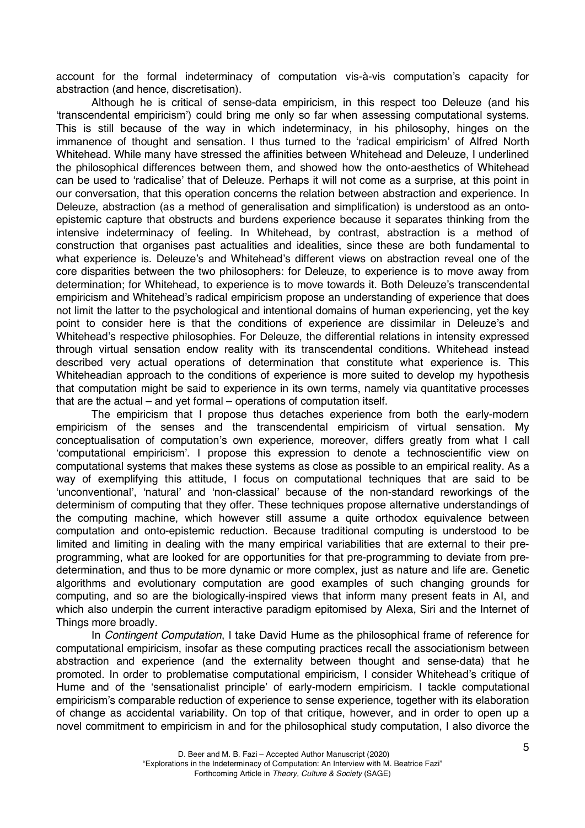account for the formal indeterminacy of computation vis-à-vis computation's capacity for abstraction (and hence, discretisation).

Although he is critical of sense-data empiricism, in this respect too Deleuze (and his 'transcendental empiricism') could bring me only so far when assessing computational systems. This is still because of the way in which indeterminacy, in his philosophy, hinges on the immanence of thought and sensation. I thus turned to the 'radical empiricism' of Alfred North Whitehead. While many have stressed the affinities between Whitehead and Deleuze, I underlined the philosophical differences between them, and showed how the onto-aesthetics of Whitehead can be used to 'radicalise' that of Deleuze. Perhaps it will not come as a surprise, at this point in our conversation, that this operation concerns the relation between abstraction and experience. In Deleuze, abstraction (as a method of generalisation and simplification) is understood as an ontoepistemic capture that obstructs and burdens experience because it separates thinking from the intensive indeterminacy of feeling. In Whitehead, by contrast, abstraction is a method of construction that organises past actualities and idealities, since these are both fundamental to what experience is. Deleuze's and Whitehead's different views on abstraction reveal one of the core disparities between the two philosophers: for Deleuze, to experience is to move away from determination; for Whitehead, to experience is to move towards it. Both Deleuze's transcendental empiricism and Whitehead's radical empiricism propose an understanding of experience that does not limit the latter to the psychological and intentional domains of human experiencing, yet the key point to consider here is that the conditions of experience are dissimilar in Deleuze's and Whitehead's respective philosophies. For Deleuze, the differential relations in intensity expressed through virtual sensation endow reality with its transcendental conditions. Whitehead instead described very actual operations of determination that constitute what experience is. This Whiteheadian approach to the conditions of experience is more suited to develop my hypothesis that computation might be said to experience in its own terms, namely via quantitative processes that are the actual – and yet formal – operations of computation itself.

The empiricism that I propose thus detaches experience from both the early-modern empiricism of the senses and the transcendental empiricism of virtual sensation. My conceptualisation of computation's own experience, moreover, differs greatly from what I call 'computational empiricism'. I propose this expression to denote a technoscientific view on computational systems that makes these systems as close as possible to an empirical reality. As a way of exemplifying this attitude, I focus on computational techniques that are said to be 'unconventional', 'natural' and 'non-classical' because of the non-standard reworkings of the determinism of computing that they offer. These techniques propose alternative understandings of the computing machine, which however still assume a quite orthodox equivalence between computation and onto-epistemic reduction. Because traditional computing is understood to be limited and limiting in dealing with the many empirical variabilities that are external to their preprogramming, what are looked for are opportunities for that pre-programming to deviate from predetermination, and thus to be more dynamic or more complex, just as nature and life are. Genetic algorithms and evolutionary computation are good examples of such changing grounds for computing, and so are the biologically-inspired views that inform many present feats in AI, and which also underpin the current interactive paradigm epitomised by Alexa, Siri and the Internet of Things more broadly.

In *Contingent Computation*, I take David Hume as the philosophical frame of reference for computational empiricism, insofar as these computing practices recall the associationism between abstraction and experience (and the externality between thought and sense-data) that he promoted. In order to problematise computational empiricism, I consider Whitehead's critique of Hume and of the 'sensationalist principle' of early-modern empiricism. I tackle computational empiricism's comparable reduction of experience to sense experience, together with its elaboration of change as accidental variability. On top of that critique, however, and in order to open up a novel commitment to empiricism in and for the philosophical study computation, I also divorce the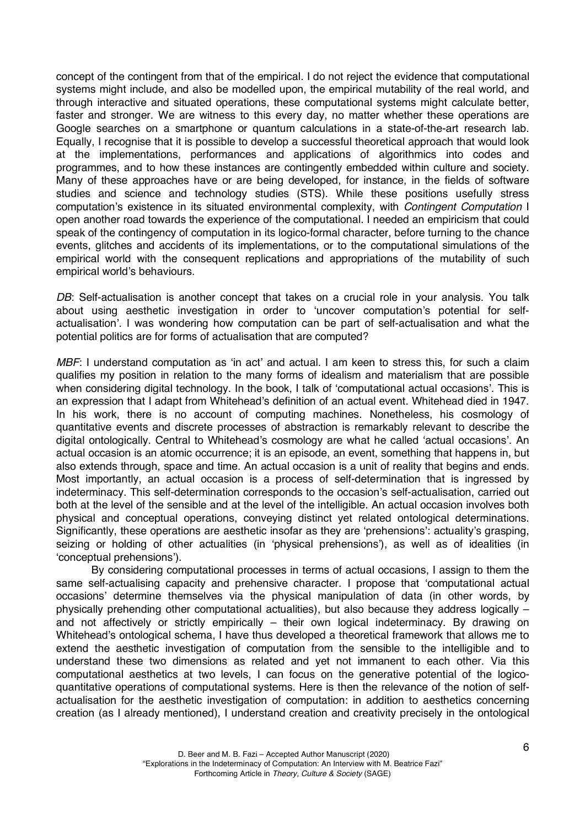concept of the contingent from that of the empirical. I do not reject the evidence that computational systems might include, and also be modelled upon, the empirical mutability of the real world, and through interactive and situated operations, these computational systems might calculate better, faster and stronger. We are witness to this every day, no matter whether these operations are Google searches on a smartphone or quantum calculations in a state-of-the-art research lab. Equally, I recognise that it is possible to develop a successful theoretical approach that would look at the implementations, performances and applications of algorithmics into codes and programmes, and to how these instances are contingently embedded within culture and society. Many of these approaches have or are being developed, for instance, in the fields of software studies and science and technology studies (STS). While these positions usefully stress computation's existence in its situated environmental complexity, with *Contingent Computation* I open another road towards the experience of the computational. I needed an empiricism that could speak of the contingency of computation in its logico-formal character, before turning to the chance events, glitches and accidents of its implementations, or to the computational simulations of the empirical world with the consequent replications and appropriations of the mutability of such empirical world's behaviours.

*DB*: Self-actualisation is another concept that takes on a crucial role in your analysis. You talk about using aesthetic investigation in order to 'uncover computation's potential for selfactualisation'. I was wondering how computation can be part of self-actualisation and what the potential politics are for forms of actualisation that are computed?

*MBF*: I understand computation as 'in act' and actual. I am keen to stress this, for such a claim qualifies my position in relation to the many forms of idealism and materialism that are possible when considering digital technology. In the book, I talk of 'computational actual occasions'. This is an expression that I adapt from Whitehead's definition of an actual event. Whitehead died in 1947. In his work, there is no account of computing machines. Nonetheless, his cosmology of quantitative events and discrete processes of abstraction is remarkably relevant to describe the digital ontologically. Central to Whitehead's cosmology are what he called 'actual occasions'. An actual occasion is an atomic occurrence; it is an episode, an event, something that happens in, but also extends through, space and time. An actual occasion is a unit of reality that begins and ends. Most importantly, an actual occasion is a process of self-determination that is ingressed by indeterminacy. This self-determination corresponds to the occasion's self-actualisation, carried out both at the level of the sensible and at the level of the intelligible. An actual occasion involves both physical and conceptual operations, conveying distinct yet related ontological determinations. Significantly, these operations are aesthetic insofar as they are 'prehensions': actuality's grasping, seizing or holding of other actualities (in 'physical prehensions'), as well as of idealities (in 'conceptual prehensions').

By considering computational processes in terms of actual occasions, I assign to them the same self-actualising capacity and prehensive character. I propose that 'computational actual occasions' determine themselves via the physical manipulation of data (in other words, by physically prehending other computational actualities), but also because they address logically – and not affectively or strictly empirically – their own logical indeterminacy. By drawing on Whitehead's ontological schema, I have thus developed a theoretical framework that allows me to extend the aesthetic investigation of computation from the sensible to the intelligible and to understand these two dimensions as related and yet not immanent to each other. Via this computational aesthetics at two levels, I can focus on the generative potential of the logicoquantitative operations of computational systems. Here is then the relevance of the notion of selfactualisation for the aesthetic investigation of computation: in addition to aesthetics concerning creation (as I already mentioned), I understand creation and creativity precisely in the ontological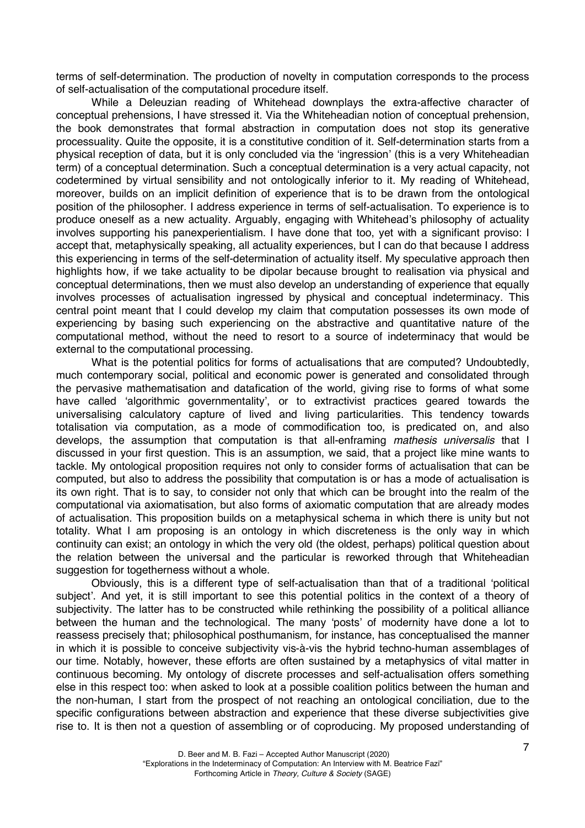terms of self-determination. The production of novelty in computation corresponds to the process of self-actualisation of the computational procedure itself.

While a Deleuzian reading of Whitehead downplays the extra-affective character of conceptual prehensions, I have stressed it. Via the Whiteheadian notion of conceptual prehension, the book demonstrates that formal abstraction in computation does not stop its generative processuality. Quite the opposite, it is a constitutive condition of it. Self-determination starts from a physical reception of data, but it is only concluded via the 'ingression' (this is a very Whiteheadian term) of a conceptual determination. Such a conceptual determination is a very actual capacity, not codetermined by virtual sensibility and not ontologically inferior to it. My reading of Whitehead, moreover, builds on an implicit definition of experience that is to be drawn from the ontological position of the philosopher. I address experience in terms of self-actualisation. To experience is to produce oneself as a new actuality. Arguably, engaging with Whitehead's philosophy of actuality involves supporting his panexperientialism. I have done that too, yet with a significant proviso: I accept that, metaphysically speaking, all actuality experiences, but I can do that because I address this experiencing in terms of the self-determination of actuality itself*.* My speculative approach then highlights how, if we take actuality to be dipolar because brought to realisation via physical and conceptual determinations, then we must also develop an understanding of experience that equally involves processes of actualisation ingressed by physical and conceptual indeterminacy. This central point meant that I could develop my claim that computation possesses its own mode of experiencing by basing such experiencing on the abstractive and quantitative nature of the computational method, without the need to resort to a source of indeterminacy that would be external to the computational processing.

What is the potential politics for forms of actualisations that are computed? Undoubtedly, much contemporary social, political and economic power is generated and consolidated through the pervasive mathematisation and datafication of the world, giving rise to forms of what some have called 'algorithmic governmentality', or to extractivist practices geared towards the universalising calculatory capture of lived and living particularities. This tendency towards totalisation via computation, as a mode of commodification too, is predicated on, and also develops, the assumption that computation is that all-enframing *mathesis universalis* that I discussed in your first question. This is an assumption, we said, that a project like mine wants to tackle. My ontological proposition requires not only to consider forms of actualisation that can be computed, but also to address the possibility that computation is or has a mode of actualisation is its own right. That is to say, to consider not only that which can be brought into the realm of the computational via axiomatisation, but also forms of axiomatic computation that are already modes of actualisation. This proposition builds on a metaphysical schema in which there is unity but not totality. What I am proposing is an ontology in which discreteness is the only way in which continuity can exist; an ontology in which the very old (the oldest, perhaps) political question about the relation between the universal and the particular is reworked through that Whiteheadian suggestion for togetherness without a whole.

Obviously, this is a different type of self-actualisation than that of a traditional 'political subject'. And yet, it is still important to see this potential politics in the context of a theory of subjectivity. The latter has to be constructed while rethinking the possibility of a political alliance between the human and the technological. The many 'posts' of modernity have done a lot to reassess precisely that; philosophical posthumanism, for instance, has conceptualised the manner in which it is possible to conceive subjectivity vis-à-vis the hybrid techno-human assemblages of our time. Notably, however, these efforts are often sustained by a metaphysics of vital matter in continuous becoming. My ontology of discrete processes and self-actualisation offers something else in this respect too: when asked to look at a possible coalition politics between the human and the non-human, I start from the prospect of not reaching an ontological conciliation, due to the specific configurations between abstraction and experience that these diverse subjectivities give rise to. It is then not a question of assembling or of coproducing. My proposed understanding of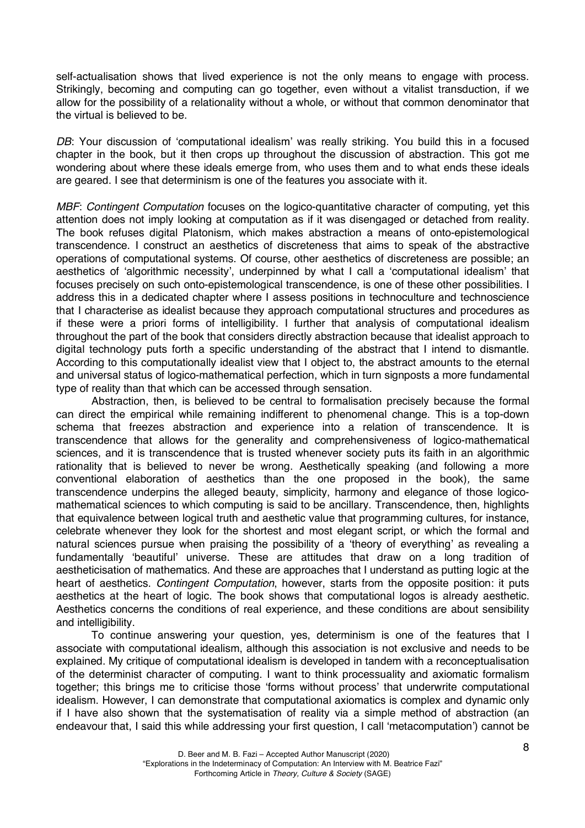self-actualisation shows that lived experience is not the only means to engage with process. Strikingly, becoming and computing can go together, even without a vitalist transduction, if we allow for the possibility of a relationality without a whole, or without that common denominator that the virtual is believed to be.

*DB*: Your discussion of 'computational idealism' was really striking. You build this in a focused chapter in the book, but it then crops up throughout the discussion of abstraction. This got me wondering about where these ideals emerge from, who uses them and to what ends these ideals are geared. I see that determinism is one of the features you associate with it.

*MBF*: *Contingent Computation* focuses on the logico-quantitative character of computing, yet this attention does not imply looking at computation as if it was disengaged or detached from reality. The book refuses digital Platonism, which makes abstraction a means of onto-epistemological transcendence. I construct an aesthetics of discreteness that aims to speak of the abstractive operations of computational systems. Of course, other aesthetics of discreteness are possible; an aesthetics of 'algorithmic necessity', underpinned by what I call a 'computational idealism' that focuses precisely on such onto-epistemological transcendence, is one of these other possibilities. I address this in a dedicated chapter where I assess positions in technoculture and technoscience that I characterise as idealist because they approach computational structures and procedures as if these were a priori forms of intelligibility. I further that analysis of computational idealism throughout the part of the book that considers directly abstraction because that idealist approach to digital technology puts forth a specific understanding of the abstract that I intend to dismantle. According to this computationally idealist view that I object to, the abstract amounts to the eternal and universal status of logico-mathematical perfection, which in turn signposts a more fundamental type of reality than that which can be accessed through sensation.

Abstraction, then, is believed to be central to formalisation precisely because the formal can direct the empirical while remaining indifferent to phenomenal change. This is a top-down schema that freezes abstraction and experience into a relation of transcendence. It is transcendence that allows for the generality and comprehensiveness of logico-mathematical sciences, and it is transcendence that is trusted whenever society puts its faith in an algorithmic rationality that is believed to never be wrong. Aesthetically speaking (and following a more conventional elaboration of aesthetics than the one proposed in the book)*,* the same transcendence underpins the alleged beauty, simplicity, harmony and elegance of those logicomathematical sciences to which computing is said to be ancillary. Transcendence, then, highlights that equivalence between logical truth and aesthetic value that programming cultures, for instance, celebrate whenever they look for the shortest and most elegant script, or which the formal and natural sciences pursue when praising the possibility of a 'theory of everything' as revealing a fundamentally 'beautiful' universe. These are attitudes that draw on a long tradition of aestheticisation of mathematics. And these are approaches that I understand as putting logic at the heart of aesthetics. *Contingent Computation*, however, starts from the opposite position: it puts aesthetics at the heart of logic. The book shows that computational logos is already aesthetic. Aesthetics concerns the conditions of real experience, and these conditions are about sensibility and intelligibility.

To continue answering your question, yes, determinism is one of the features that I associate with computational idealism, although this association is not exclusive and needs to be explained. My critique of computational idealism is developed in tandem with a reconceptualisation of the determinist character of computing. I want to think processuality and axiomatic formalism together; this brings me to criticise those 'forms without process' that underwrite computational idealism. However, I can demonstrate that computational axiomatics is complex and dynamic only if I have also shown that the systematisation of reality via a simple method of abstraction (an endeavour that, I said this while addressing your first question, I call 'metacomputation') cannot be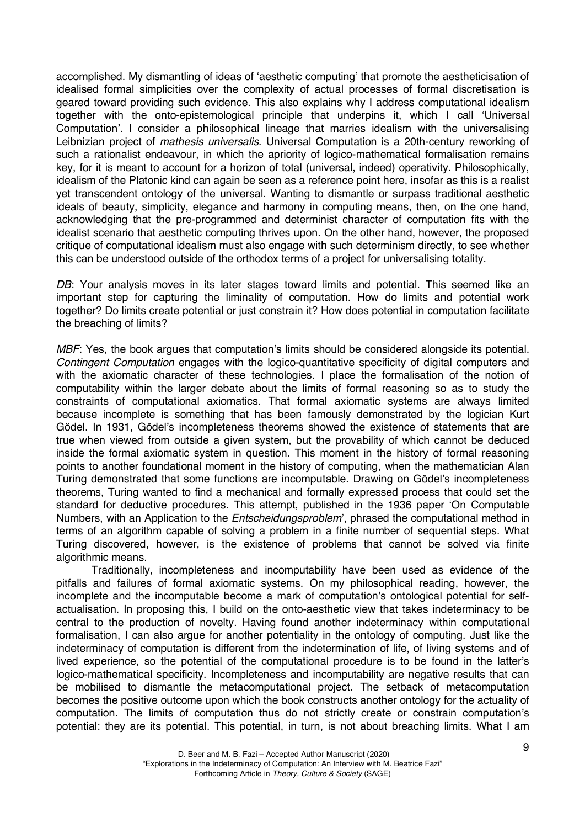accomplished. My dismantling of ideas of 'aesthetic computing' that promote the aestheticisation of idealised formal simplicities over the complexity of actual processes of formal discretisation is geared toward providing such evidence. This also explains why I address computational idealism together with the onto-epistemological principle that underpins it, which I call 'Universal Computation'. I consider a philosophical lineage that marries idealism with the universalising Leibnizian project of *mathesis universalis*. Universal Computation is a 20th-century reworking of such a rationalist endeavour, in which the apriority of logico-mathematical formalisation remains key, for it is meant to account for a horizon of total (universal, indeed) operativity. Philosophically, idealism of the Platonic kind can again be seen as a reference point here, insofar as this is a realist yet transcendent ontology of the universal. Wanting to dismantle or surpass traditional aesthetic ideals of beauty, simplicity, elegance and harmony in computing means, then, on the one hand, acknowledging that the pre-programmed and determinist character of computation fits with the idealist scenario that aesthetic computing thrives upon. On the other hand, however, the proposed critique of computational idealism must also engage with such determinism directly, to see whether this can be understood outside of the orthodox terms of a project for universalising totality.

DB: Your analysis moves in its later stages toward limits and potential. This seemed like an important step for capturing the liminality of computation. How do limits and potential work together? Do limits create potential or just constrain it? How does potential in computation facilitate the breaching of limits?

*MBF*: Yes, the book argues that computation's limits should be considered alongside its potential. *Contingent Computation* engages with the logico-quantitative specificity of digital computers and with the axiomatic character of these technologies. I place the formalisation of the notion of computability within the larger debate about the limits of formal reasoning so as to study the constraints of computational axiomatics. That formal axiomatic systems are always limited because incomplete is something that has been famously demonstrated by the logician Kurt Gödel. In 1931, Gödel's incompleteness theorems showed the existence of statements that are true when viewed from outside a given system, but the provability of which cannot be deduced inside the formal axiomatic system in question. This moment in the history of formal reasoning points to another foundational moment in the history of computing, when the mathematician Alan Turing demonstrated that some functions are incomputable. Drawing on Gödel's incompleteness theorems, Turing wanted to find a mechanical and formally expressed process that could set the standard for deductive procedures. This attempt, published in the 1936 paper 'On Computable Numbers, with an Application to the *Entscheidungsproblem*', phrased the computational method in terms of an algorithm capable of solving a problem in a finite number of sequential steps. What Turing discovered, however, is the existence of problems that cannot be solved via finite algorithmic means.

Traditionally, incompleteness and incomputability have been used as evidence of the pitfalls and failures of formal axiomatic systems. On my philosophical reading, however, the incomplete and the incomputable become a mark of computation's ontological potential for selfactualisation. In proposing this, I build on the onto-aesthetic view that takes indeterminacy to be central to the production of novelty. Having found another indeterminacy within computational formalisation, I can also argue for another potentiality in the ontology of computing. Just like the indeterminacy of computation is different from the indetermination of life, of living systems and of lived experience, so the potential of the computational procedure is to be found in the latter's logico-mathematical specificity. Incompleteness and incomputability are negative results that can be mobilised to dismantle the metacomputational project. The setback of metacomputation becomes the positive outcome upon which the book constructs another ontology for the actuality of computation. The limits of computation thus do not strictly create or constrain computation's potential: they are its potential. This potential, in turn, is not about breaching limits. What I am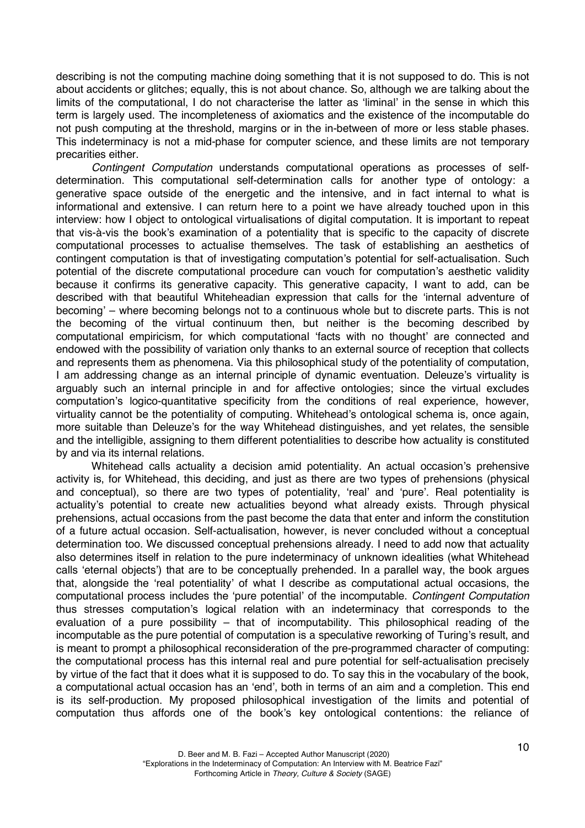describing is not the computing machine doing something that it is not supposed to do. This is not about accidents or glitches; equally, this is not about chance. So, although we are talking about the limits of the computational, I do not characterise the latter as 'liminal' in the sense in which this term is largely used. The incompleteness of axiomatics and the existence of the incomputable do not push computing at the threshold, margins or in the in-between of more or less stable phases. This indeterminacy is not a mid-phase for computer science, and these limits are not temporary precarities either.

*Contingent Computation* understands computational operations as processes of selfdetermination. This computational self-determination calls for another type of ontology: a generative space outside of the energetic and the intensive, and in fact internal to what is informational and extensive. I can return here to a point we have already touched upon in this interview: how I object to ontological virtualisations of digital computation. It is important to repeat that vis-à-vis the book's examination of a potentiality that is specific to the capacity of discrete computational processes to actualise themselves. The task of establishing an aesthetics of contingent computation is that of investigating computation's potential for self-actualisation. Such potential of the discrete computational procedure can vouch for computation's aesthetic validity because it confirms its generative capacity. This generative capacity, I want to add, can be described with that beautiful Whiteheadian expression that calls for the 'internal adventure of becoming' – where becoming belongs not to a continuous whole but to discrete parts. This is not the becoming of the virtual continuum then, but neither is the becoming described by computational empiricism, for which computational 'facts with no thought' are connected and endowed with the possibility of variation only thanks to an external source of reception that collects and represents them as phenomena. Via this philosophical study of the potentiality of computation, I am addressing change as an internal principle of dynamic eventuation. Deleuze's virtuality is arguably such an internal principle in and for affective ontologies; since the virtual excludes computation's logico-quantitative specificity from the conditions of real experience, however, virtuality cannot be the potentiality of computing. Whitehead's ontological schema is, once again, more suitable than Deleuze's for the way Whitehead distinguishes, and yet relates, the sensible and the intelligible, assigning to them different potentialities to describe how actuality is constituted by and via its internal relations.

Whitehead calls actuality a decision amid potentiality. An actual occasion's prehensive activity is, for Whitehead, this deciding, and just as there are two types of prehensions (physical and conceptual), so there are two types of potentiality, 'real' and 'pure'. Real potentiality is actuality's potential to create new actualities beyond what already exists. Through physical prehensions, actual occasions from the past become the data that enter and inform the constitution of a future actual occasion. Self-actualisation, however, is never concluded without a conceptual determination too. We discussed conceptual prehensions already. I need to add now that actuality also determines itself in relation to the pure indeterminacy of unknown idealities (what Whitehead calls 'eternal objects') that are to be conceptually prehended. In a parallel way, the book argues that, alongside the 'real potentiality' of what I describe as computational actual occasions, the computational process includes the 'pure potential' of the incomputable. *Contingent Computation* thus stresses computation's logical relation with an indeterminacy that corresponds to the evaluation of a pure possibility – that of incomputability. This philosophical reading of the incomputable as the pure potential of computation is a speculative reworking of Turing's result, and is meant to prompt a philosophical reconsideration of the pre-programmed character of computing: the computational process has this internal real and pure potential for self-actualisation precisely by virtue of the fact that it does what it is supposed to do. To say this in the vocabulary of the book, a computational actual occasion has an 'end', both in terms of an aim and a completion. This end is its self-production. My proposed philosophical investigation of the limits and potential of computation thus affords one of the book's key ontological contentions: the reliance of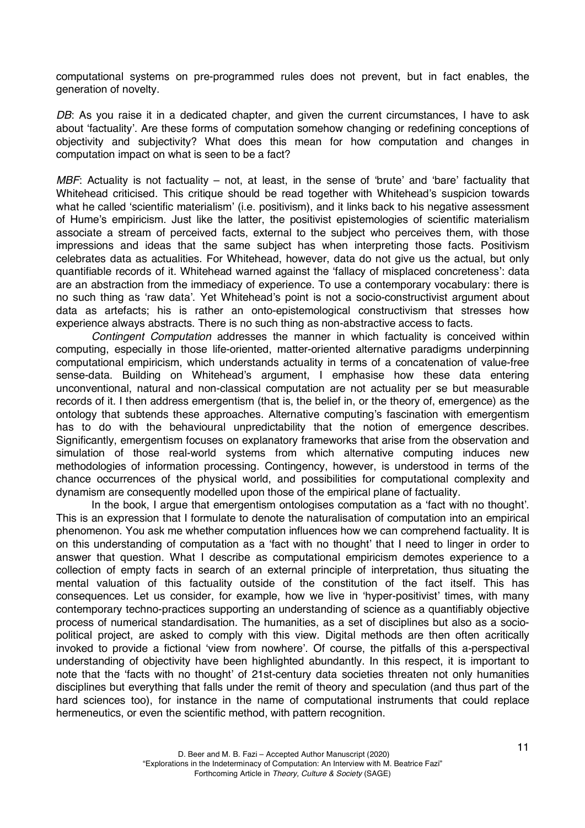computational systems on pre-programmed rules does not prevent, but in fact enables, the generation of novelty.

DB: As vou raise it in a dedicated chapter, and given the current circumstances, I have to ask about 'factuality'. Are these forms of computation somehow changing or redefining conceptions of objectivity and subjectivity? What does this mean for how computation and changes in computation impact on what is seen to be a fact?

*MBF*: Actuality is not factuality – not, at least, in the sense of 'brute' and 'bare' factuality that Whitehead criticised. This critique should be read together with Whitehead's suspicion towards what he called 'scientific materialism' (i.e. positivism), and it links back to his negative assessment of Hume's empiricism. Just like the latter, the positivist epistemologies of scientific materialism associate a stream of perceived facts, external to the subject who perceives them, with those impressions and ideas that the same subject has when interpreting those facts. Positivism celebrates data as actualities. For Whitehead, however, data do not give us the actual, but only quantifiable records of it. Whitehead warned against the 'fallacy of misplaced concreteness': data are an abstraction from the immediacy of experience. To use a contemporary vocabulary: there is no such thing as 'raw data'. Yet Whitehead's point is not a socio-constructivist argument about data as artefacts; his is rather an onto-epistemological constructivism that stresses how experience always abstracts. There is no such thing as non-abstractive access to facts.

*Contingent Computation* addresses the manner in which factuality is conceived within computing, especially in those life-oriented, matter-oriented alternative paradigms underpinning computational empiricism, which understands actuality in terms of a concatenation of value-free sense-data. Building on Whitehead's argument, I emphasise how these data entering unconventional, natural and non-classical computation are not actuality per se but measurable records of it. I then address emergentism (that is, the belief in, or the theory of, emergence) as the ontology that subtends these approaches. Alternative computing's fascination with emergentism has to do with the behavioural unpredictability that the notion of emergence describes. Significantly, emergentism focuses on explanatory frameworks that arise from the observation and simulation of those real-world systems from which alternative computing induces new methodologies of information processing. Contingency, however, is understood in terms of the chance occurrences of the physical world, and possibilities for computational complexity and dynamism are consequently modelled upon those of the empirical plane of factuality.

In the book, I argue that emergentism ontologises computation as a 'fact with no thought'. This is an expression that I formulate to denote the naturalisation of computation into an empirical phenomenon. You ask me whether computation influences how we can comprehend factuality. It is on this understanding of computation as a 'fact with no thought' that I need to linger in order to answer that question. What I describe as computational empiricism demotes experience to a collection of empty facts in search of an external principle of interpretation, thus situating the mental valuation of this factuality outside of the constitution of the fact itself. This has consequences. Let us consider, for example, how we live in 'hyper-positivist' times, with many contemporary techno-practices supporting an understanding of science as a quantifiably objective process of numerical standardisation. The humanities, as a set of disciplines but also as a sociopolitical project, are asked to comply with this view. Digital methods are then often acritically invoked to provide a fictional 'view from nowhere'. Of course, the pitfalls of this a-perspectival understanding of objectivity have been highlighted abundantly. In this respect, it is important to note that the 'facts with no thought' of 21st-century data societies threaten not only humanities disciplines but everything that falls under the remit of theory and speculation (and thus part of the hard sciences too), for instance in the name of computational instruments that could replace hermeneutics, or even the scientific method, with pattern recognition.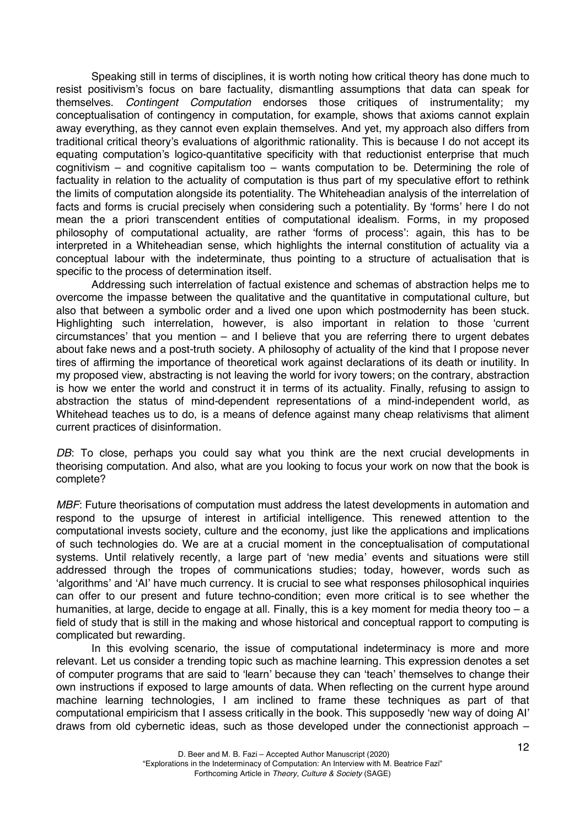Speaking still in terms of disciplines, it is worth noting how critical theory has done much to resist positivism's focus on bare factuality, dismantling assumptions that data can speak for themselves. *Contingent Computation* endorses those critiques of instrumentality; my conceptualisation of contingency in computation, for example, shows that axioms cannot explain away everything, as they cannot even explain themselves. And yet, my approach also differs from traditional critical theory's evaluations of algorithmic rationality. This is because I do not accept its equating computation's logico-quantitative specificity with that reductionist enterprise that much cognitivism – and cognitive capitalism too – wants computation to be. Determining the role of factuality in relation to the actuality of computation is thus part of my speculative effort to rethink the limits of computation alongside its potentiality. The Whiteheadian analysis of the interrelation of facts and forms is crucial precisely when considering such a potentiality. By 'forms' here I do not mean the a priori transcendent entities of computational idealism. Forms, in my proposed philosophy of computational actuality, are rather 'forms of process': again, this has to be interpreted in a Whiteheadian sense, which highlights the internal constitution of actuality via a conceptual labour with the indeterminate, thus pointing to a structure of actualisation that is specific to the process of determination itself.

Addressing such interrelation of factual existence and schemas of abstraction helps me to overcome the impasse between the qualitative and the quantitative in computational culture, but also that between a symbolic order and a lived one upon which postmodernity has been stuck. Highlighting such interrelation, however, is also important in relation to those 'current circumstances' that you mention – and I believe that you are referring there to urgent debates about fake news and a post-truth society. A philosophy of actuality of the kind that I propose never tires of affirming the importance of theoretical work against declarations of its death or inutility. In my proposed view, abstracting is not leaving the world for ivory towers; on the contrary, abstraction is how we enter the world and construct it in terms of its actuality. Finally, refusing to assign to abstraction the status of mind-dependent representations of a mind-independent world, as Whitehead teaches us to do, is a means of defence against many cheap relativisms that aliment current practices of disinformation.

*DB*: To close, perhaps you could say what you think are the next crucial developments in theorising computation. And also, what are you looking to focus your work on now that the book is complete?

*MBF*: Future theorisations of computation must address the latest developments in automation and respond to the upsurge of interest in artificial intelligence. This renewed attention to the computational invests society, culture and the economy, just like the applications and implications of such technologies do. We are at a crucial moment in the conceptualisation of computational systems. Until relatively recently, a large part of 'new media' events and situations were still addressed through the tropes of communications studies; today, however, words such as 'algorithms' and 'AI' have much currency. It is crucial to see what responses philosophical inquiries can offer to our present and future techno-condition; even more critical is to see whether the humanities, at large, decide to engage at all. Finally, this is a key moment for media theory too – a field of study that is still in the making and whose historical and conceptual rapport to computing is complicated but rewarding.

In this evolving scenario, the issue of computational indeterminacy is more and more relevant. Let us consider a trending topic such as machine learning. This expression denotes a set of computer programs that are said to 'learn' because they can 'teach' themselves to change their own instructions if exposed to large amounts of data. When reflecting on the current hype around machine learning technologies, I am inclined to frame these techniques as part of that computational empiricism that I assess critically in the book. This supposedly 'new way of doing AI' draws from old cybernetic ideas, such as those developed under the connectionist approach –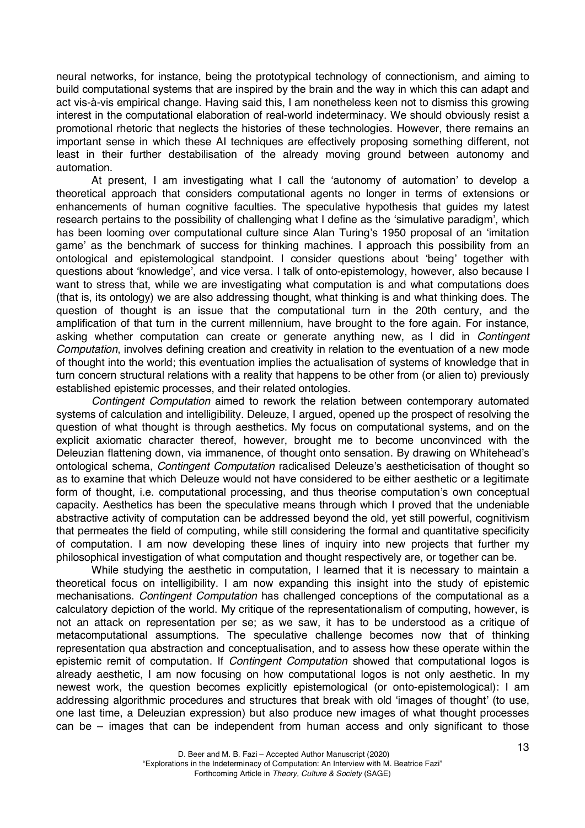neural networks, for instance, being the prototypical technology of connectionism, and aiming to build computational systems that are inspired by the brain and the way in which this can adapt and act vis-à-vis empirical change. Having said this, I am nonetheless keen not to dismiss this growing interest in the computational elaboration of real-world indeterminacy. We should obviously resist a promotional rhetoric that neglects the histories of these technologies. However, there remains an important sense in which these AI techniques are effectively proposing something different, not least in their further destabilisation of the already moving ground between autonomy and automation.

At present, I am investigating what I call the 'autonomy of automation' to develop a theoretical approach that considers computational agents no longer in terms of extensions or enhancements of human cognitive faculties. The speculative hypothesis that guides my latest research pertains to the possibility of challenging what I define as the 'simulative paradigm', which has been looming over computational culture since Alan Turing's 1950 proposal of an 'imitation game' as the benchmark of success for thinking machines*.* I approach this possibility from an ontological and epistemological standpoint. I consider questions about 'being' together with questions about 'knowledge', and vice versa. I talk of onto-epistemology, however, also because I want to stress that, while we are investigating what computation is and what computations does (that is, its ontology) we are also addressing thought, what thinking is and what thinking does. The question of thought is an issue that the computational turn in the 20th century, and the amplification of that turn in the current millennium, have brought to the fore again. For instance, asking whether computation can create or generate anything new, as I did in *Contingent Computation*, involves defining creation and creativity in relation to the eventuation of a new mode of thought into the world; this eventuation implies the actualisation of systems of knowledge that in turn concern structural relations with a reality that happens to be other from (or alien to) previously established epistemic processes, and their related ontologies.

*Contingent Computation* aimed to rework the relation between contemporary automated systems of calculation and intelligibility. Deleuze, I argued, opened up the prospect of resolving the question of what thought is through aesthetics. My focus on computational systems, and on the explicit axiomatic character thereof, however, brought me to become unconvinced with the Deleuzian flattening down, via immanence, of thought onto sensation. By drawing on Whitehead's ontological schema, *Contingent Computation* radicalised Deleuze's aestheticisation of thought so as to examine that which Deleuze would not have considered to be either aesthetic or a legitimate form of thought, i.e. computational processing, and thus theorise computation's own conceptual capacity. Aesthetics has been the speculative means through which I proved that the undeniable abstractive activity of computation can be addressed beyond the old, yet still powerful, cognitivism that permeates the field of computing, while still considering the formal and quantitative specificity of computation. I am now developing these lines of inquiry into new projects that further my philosophical investigation of what computation and thought respectively are, or together can be.

While studying the aesthetic in computation, I learned that it is necessary to maintain a theoretical focus on intelligibility. I am now expanding this insight into the study of epistemic mechanisations. *Contingent Computation* has challenged conceptions of the computational as a calculatory depiction of the world. My critique of the representationalism of computing, however, is not an attack on representation per se; as we saw, it has to be understood as a critique of metacomputational assumptions. The speculative challenge becomes now that of thinking representation qua abstraction and conceptualisation, and to assess how these operate within the epistemic remit of computation. If *Contingent Computation* showed that computational logos is already aesthetic, I am now focusing on how computational logos is not only aesthetic. In my newest work, the question becomes explicitly epistemological (or onto-epistemological): I am addressing algorithmic procedures and structures that break with old 'images of thought' (to use, one last time, a Deleuzian expression) but also produce new images of what thought processes can be – images that can be independent from human access and only significant to those